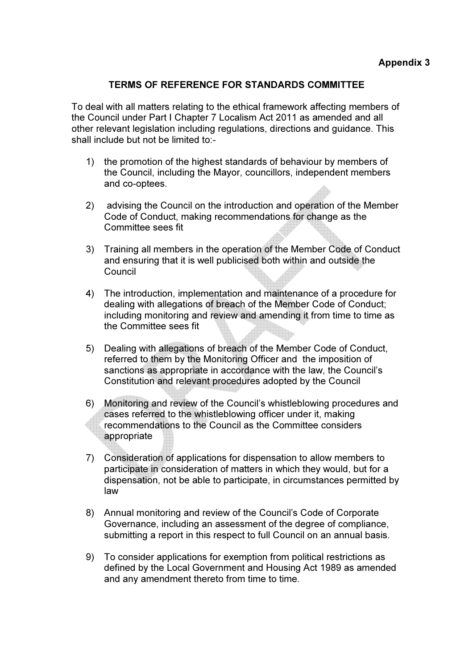## TERMS OF REFERENCE FOR STANDARDS COMMITTEE

To deal with all matters relating to the ethical framework affecting members of the Council under Part I Chapter 7 Localism Act 2011 as amended and all other relevant legislation including regulations, directions and guidance. This shall include but not be limited to:-

- 1) the promotion of the highest standards of behaviour by members of the Council, including the Mayor, councillors, independent members and co-optees.
- 2) advising the Council on the introduction and operation of the Member Code of Conduct, making recommendations for change as the Committee sees fit
- 3) Training all members in the operation of the Member Code of Conduct and ensuring that it is well publicised both within and outside the Council
- 4) The introduction, implementation and maintenance of a procedure for dealing with allegations of breach of the Member Code of Conduct; including monitoring and review and amending it from time to time as the Committee sees fit
- 5) Dealing with allegations of breach of the Member Code of Conduct, referred to them by the Monitoring Officer and the imposition of sanctions as appropriate in accordance with the law, the Council's Constitution and relevant procedures adopted by the Council
- 6) Monitoring and review of the Council's whistleblowing procedures and cases referred to the whistleblowing officer under it, making recommendations to the Council as the Committee considers appropriate
- 7) Consideration of applications for dispensation to allow members to participate in consideration of matters in which they would, but for a dispensation, not be able to participate, in circumstances permitted by law
- 8) Annual monitoring and review of the Council's Code of Corporate Governance, including an assessment of the degree of compliance, submitting a report in this respect to full Council on an annual basis.
- 9) To consider applications for exemption from political restrictions as defined by the Local Government and Housing Act 1989 as amended and any amendment thereto from time to time.